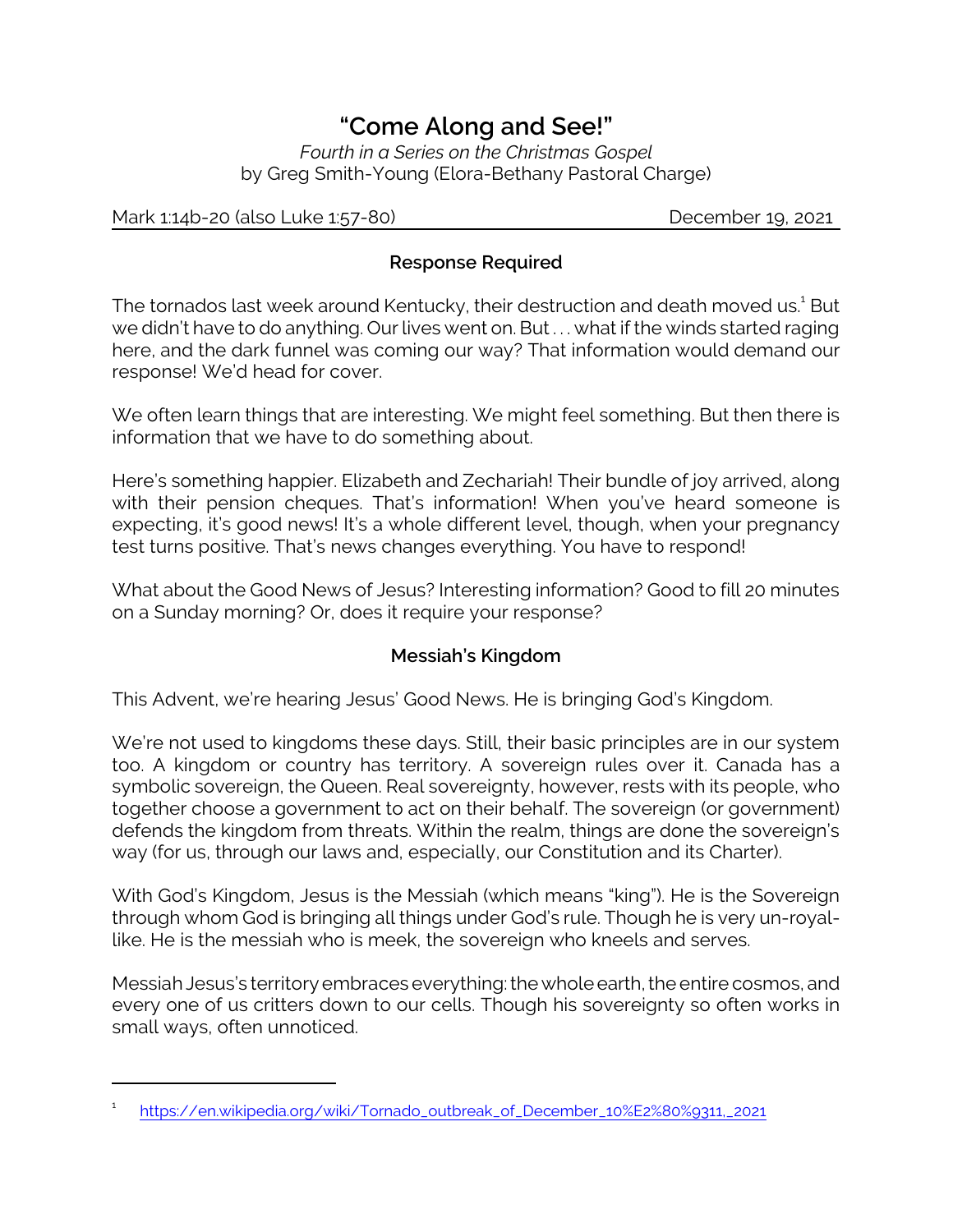# *"Come Along and See!"*

*Fourth in a Series on the Christmas Gospel* by Greg Smith-Young (Elora-Bethany Pastoral Charge)

Mark 1:14b-20 (also Luke 1:57-80) December 19, 2021

## **Response Required**

The tornados last week around Kentucky, their destruction and death moved us.<sup>1</sup> But we didn't have to do anything. Our lives went on. But . . . what if the winds started raging here, and the dark funnel was coming our way? That information would demand our response! We'd head for cover.

We often learn things that are interesting. We might feel something. But then there is information that we have to do something about.

Here's something happier. Elizabeth and Zechariah! Their bundle of joy arrived, along with their pension cheques. That's information! When you've heard someone is expecting, it's good news! It's a whole different level, though, when your pregnancy test turns positive. That's news changes everything. You have to respond!

What about the Good News of Jesus? Interesting information? Good to fill 20 minutes on a Sunday morning? Or, does it require your response?

#### **Messiah's Kingdom**

This Advent, we're hearing Jesus' Good News. He is bringing God's Kingdom.

We're not used to kingdoms these days. Still, their basic principles are in our system too. A kingdom or country has territory. A sovereign rules over it. Canada has a symbolic sovereign, the Queen. Real sovereignty, however, rests with its people, who together choose a government to act on their behalf. The sovereign (or government) defends the kingdom from threats. Within the realm, things are done the sovereign's way (for us, through our laws and, especially, our Constitution and its Charter).

With God's Kingdom, Jesus is the Messiah (which means "king"). He is the Sovereign through whom God is bringing all things under God's rule. Though he is very un-royallike. He is the messiah who is meek, the sovereign who kneels and serves.

Messiah Jesus's territory embraces everything: the whole earth, the entire cosmos, and every one of us critters down to our cells. Though his sovereignty so often works in small ways, often unnoticed.

<sup>1</sup> [https://en.wikipedia.org/wiki/Tornado\\_outbreak\\_of\\_December\\_10%E2%80%9311,\\_2021](https://en.wikipedia.org/wiki/Tornado_outbreak_of_December_10%E2%80%9311,_2021)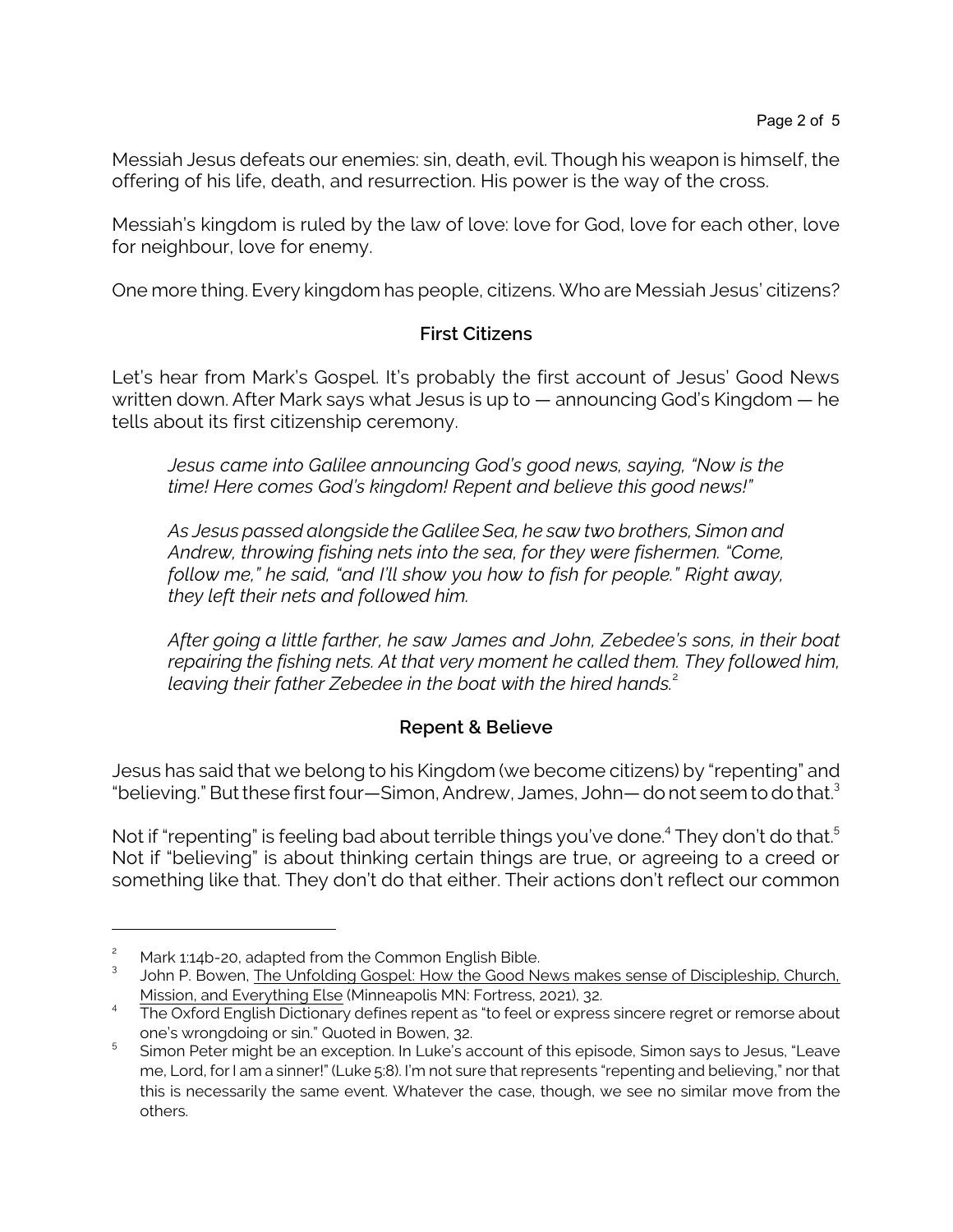Messiah Jesus defeats our enemies: sin, death, evil. Though his weapon is himself, the offering of his life, death, and resurrection. His power is the way of the cross.

Messiah's kingdom is ruled by the law of love: love for God, love for each other, love for neighbour, love for enemy.

One more thing. Every kingdom has people, citizens. Who are Messiah Jesus' citizens?

## **First Citizens**

Let's hear from Mark's Gospel. It's probably the first account of Jesus' Good News written down. After Mark says what Jesus is up to — announcing God's Kingdom — he tells about its first citizenship ceremony.

*Jesus came into Galilee announcing God's good news, saying, "Now is the time! Here comes God's kingdom! Repent and believe this good news!"*

*As Jesus passed alongside the Galilee Sea, he saw two brothers, Simon and Andrew, throwing fishing nets into the sea, for they were fishermen. "Come, follow me," he said, "and I'll show you how to fish for people." Right away, they left their nets and followed him.* 

*After going a little farther, he saw James and John, Zebedee's sons, in their boat repairing the fishing nets. At that very moment he called them. They followed him, leaving their father Zebedee in the boat with the hired hands.*<sup>2</sup>

#### **Repent & Believe**

Jesus has said that we belong to his Kingdom (we become citizens) by "repenting" and "believing." But these first four—Simon, Andrew, James, John— do not seem to do that.<sup>3</sup>

Not if "repenting" is feeling bad about terrible things you've done.<sup>4</sup> They don't do that.<sup>5</sup> Not if "believing" is about thinking certain things are true, or agreeing to a creed or something like that. They don't do that either. Their actions don't reflect our common

Mark 1:14b-20, adapted from the Common English Bible.

<sup>3</sup> John P. Bowen, The Unfolding Gospel: How the Good News makes sense of Discipleship, Church, Mission, and Everything Else (Minneapolis MN: Fortress, 2021), 32.

<sup>&</sup>lt;sup>4</sup> The Oxford English Dictionary defines repent as "to feel or express sincere regret or remorse about one's wrongdoing or sin." Quoted in Bowen, 32.

<sup>5</sup> Simon Peter might be an exception. In Luke's account of this episode, Simon says to Jesus, "Leave me, Lord, for I am a sinner!" (Luke 5:8). I'm not sure that represents "repenting and believing," nor that this is necessarily the same event. Whatever the case, though, we see no similar move from the others.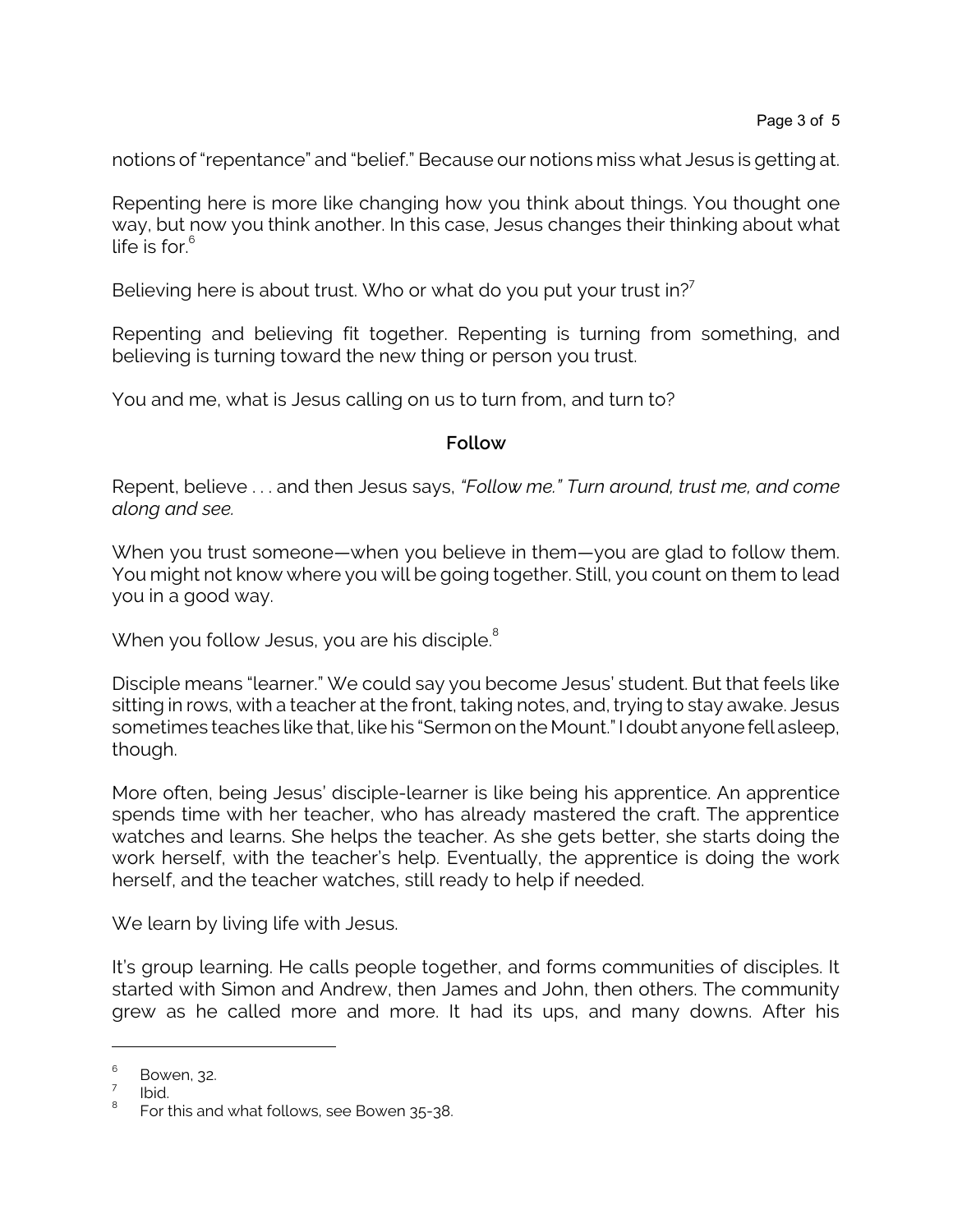notions of "repentance" and "belief." Because our notions miss what Jesus is getting at.

Repenting here is more like changing how you think about things. You thought one way, but now you think another. In this case, Jesus changes their thinking about what life is for. 6

Believing here is about trust. Who or what do you put your trust in?<sup>7</sup>

Repenting and believing fit together. Repenting is turning from something, and believing is turning toward the new thing or person you trust.

You and me, what is Jesus calling on us to turn from, and turn to?

#### **Follow**

Repent, believe . . . and then Jesus says, *"Follow me." Turn around, trust me, and come along and see.*

When you trust someone—when you believe in them—you are glad to follow them. You might not know where you will be going together. Still, you count on them to lead you in a good way.

When you follow Jesus, you are his disciple. $8$ 

Disciple means "learner." We could say you become Jesus' student. But that feels like sitting in rows, with a teacher at the front, taking notes, and, trying to stay awake. Jesus sometimes teaches like that, like his "Sermon on the Mount." I doubt anyone fell asleep, though.

More often, being Jesus' disciple-learner is like being his apprentice. An apprentice spends time with her teacher, who has already mastered the craft. The apprentice watches and learns. She helps the teacher. As she gets better, she starts doing the work herself, with the teacher's help. Eventually, the apprentice is doing the work herself, and the teacher watches, still ready to help if needed.

We learn by living life with Jesus.

It's group learning. He calls people together, and forms communities of disciples. It started with Simon and Andrew, then James and John, then others. The community grew as he called more and more. It had its ups, and many downs. After his

<sup>6</sup> Bowen, 32.

<sup>7</sup> Ibid.

<sup>8</sup> For this and what follows, see Bowen 35-38.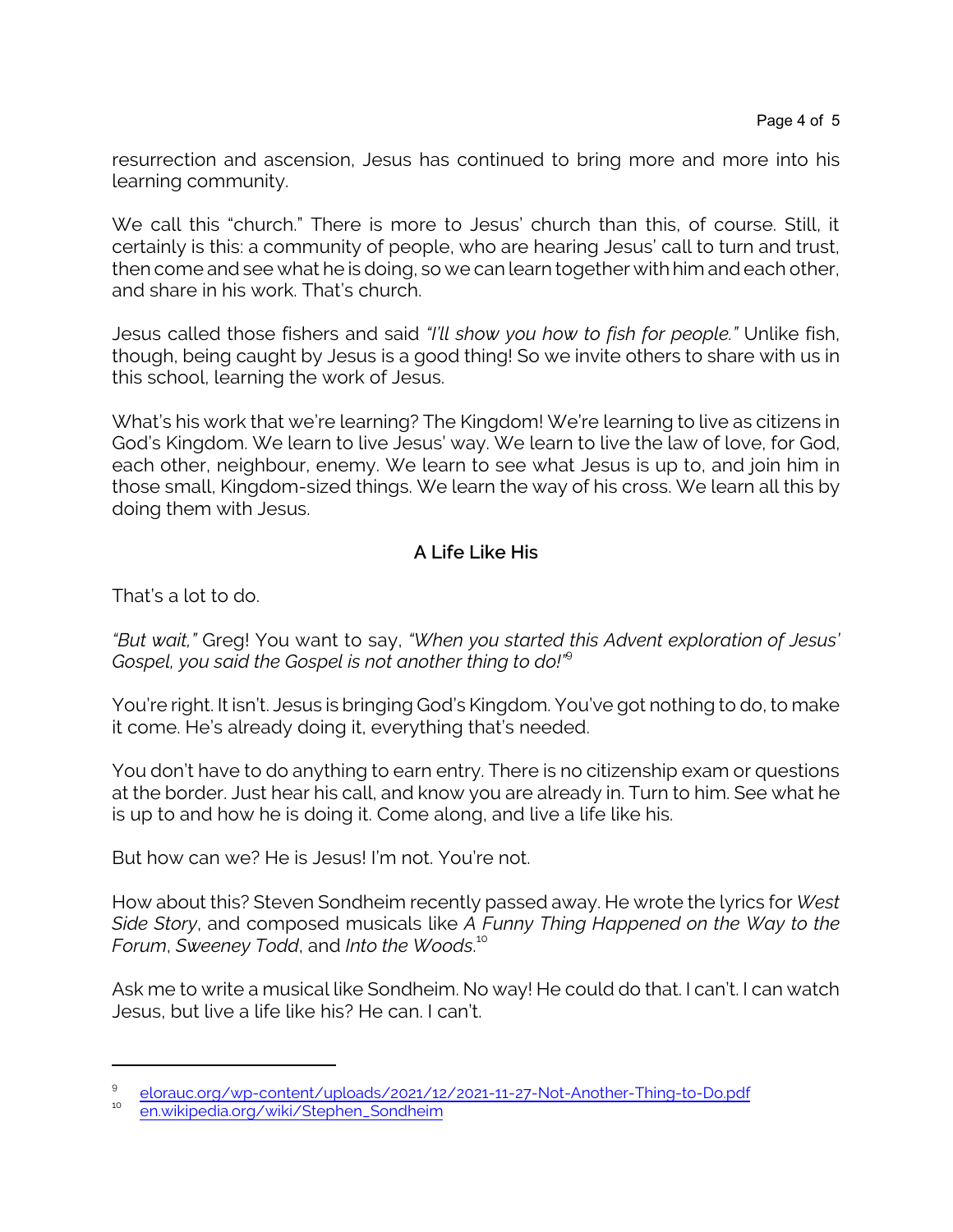resurrection and ascension, Jesus has continued to bring more and more into his learning community.

We call this "church." There is more to Jesus' church than this, of course. Still, it certainly is this: a community of people, who are hearing Jesus' call to turn and trust, then come and see what he is doing, so we can learn together with him and each other, and share in his work. That's church.

Jesus called those fishers and said *"I'll show you how to fish for people."* Unlike fish, though, being caught by Jesus is a good thing! So we invite others to share with us in this school, learning the work of Jesus.

What's his work that we're learning? The Kingdom! We're learning to live as citizens in God's Kingdom. We learn to live Jesus' way. We learn to live the law of love, for God, each other, neighbour, enemy. We learn to see what Jesus is up to, and join him in those small, Kingdom-sized things. We learn the way of his cross. We learn all this by doing them with Jesus.

# **A Life Like His**

That's a lot to do.

*"But wait,"* Greg! You want to say, *"When you started this Advent exploration of Jesus' Gospel, you said the Gospel is not another thing to do!"*<sup>9</sup>

You're right. It isn't. Jesus is bringing God's Kingdom. You've got nothing to do, to make it come. He's already doing it, everything that's needed.

You don't have to do anything to earn entry. There is no citizenship exam or questions at the border. Just hear his call, and know you are already in. Turn to him. See what he is up to and how he is doing it. Come along, and live a life like his.

But how can we? He is Jesus! I'm not. You're not.

How about this? Steven Sondheim recently passed away. He wrote the lyrics for *West Side Story*, and composed musicals like *A Funny Thing Happened on the Way to the Forum*, *Sweeney Todd*, and *Into the Woods*. 10

Ask me to write a musical like Sondheim. No way! He could do that. I can't. I can watch Jesus, but live a life like his? He can. I can't.

<sup>9</sup> [elorauc.org/wp-content/uploads/2021/12/2021-11-27-Not-Another-Thing-to-Do.pdf](https://elorauc.org/wp-content/uploads/2021/12/2021-11-27-Not-Another-Thing-to-Do.pdf)

<sup>10</sup> [en.wikipedia.org/wiki/Stephen\\_Sondheim](https://en.wikipedia.org/wiki/Stephen_Sondheim)